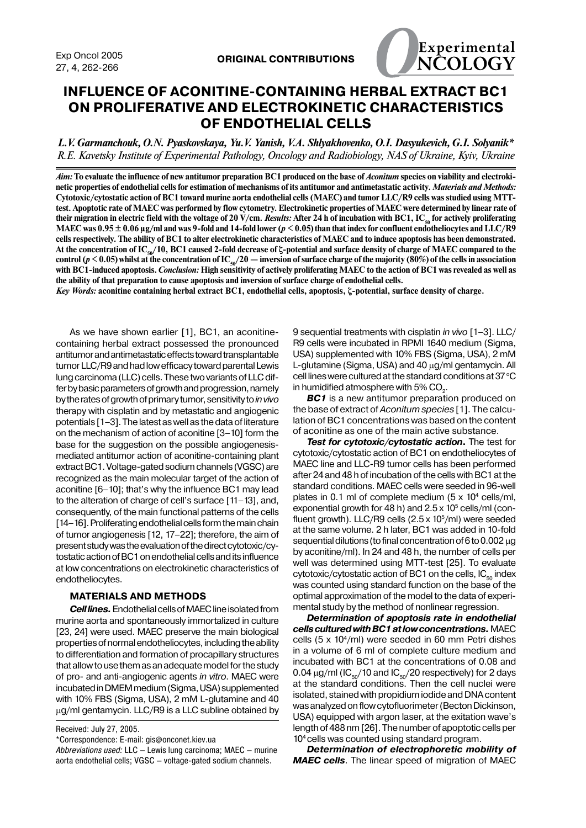

# **INFLUENCE OF ACONITINE-CONTAINING HERBAL EXTRACT ВС1 ON PROLIFERATIVE AND ELECTROKINETIC CHARACTERISTICS OF ENDOTHELIAL CELLS**

*L.V. Garmanchouk, O.N. Pyaskovskaya, Yu.V. Yanish, V.A. Shlyakhovenko, O.I. Dasyukevich, G.I. Solyanik\* R.E. Kavetsky Institute of Experimental Pathology, Oncology and Radiobiology, NAS of Ukraine, Kyiv, Ukraine*

Aim: To evaluate the influence of new antitumor preparation BC1 produced on the base of *Aconitum* species on viability and electroki**netic properties of endothelial cells for estimation of mechanisms of its antitumor and antimetastatic activity.** *Materials and Methods:*  **Cytotoxic/cytostatic action of BC1 toward murine aorta endothelial cells (МАЕС) and tumor LLC/R9 cells was studied using МТТtest. Apoptotic rate of MAEC was performed by flow cytometry. Electrokinetic properties of МАЕС were determined by linear rate of**  their migration in electric field with the voltage of 20 V/cm. *Results:* After 24 h of incubation with BC1, IC<sub>50</sub> for actively proliferating **МАЕС was 0.95 ± 0.06 µg/ml and was 9-fold and 14-fold lower (***p* **< 0.05) than that index for confluent endotheliocytes and LLC/R9 cells respectively. The ability of BC1 to alter electrokinetic characteristics of MAEC and to induce apoptosis has been demonstrated.**  At the concentration of IC<sub>50</sub>/10, BC1 caused 2-fold decrease of ζ-potential and surface density of charge of MAEC compared to the control ( $p$  < 0.05) whilst at the concentration of IC<sub>50</sub>/20 — inversion of surface charge of the majority (80%) of the cells in association **with BC1-induced apoptosis.** *Conclusion:* **High sensitivity of actively proliferating MAEC to the action of BC1 was revealed as well as the ability of that preparation to cause apoptosis and inversion of surface charge of endothelial cells.** 

*Key Words:* **aconitine containing herbal extract BC1, endothelial cells, apoptosis, ζ-potential, surface density of charge.**

As we have shown earlier [1], BC1, an aconitinecontaining herbal extract possessed the pronounced antitumor and antimetastatic effects toward transplantable tumor LLC/R9 and had low efficacy toward parental Lewis lung carcinoma (LLC) cells. These two variants of LLC differ by basic parameters of growth and progression, namely bytheratesofgrowthofprimarytumor,sensitivityto*in vivo* therapy with cisplatin and by metastatic and angiogenic potentials [1–3]. The latest as well as the data of literature on the mechanism of action of aconitine  $[3-10]$  form the base for the suggestion on the possible angiogenesismediated antitumor action of aconitine-containing plant extract BC1. Voltage-gated sodium channels (VGSC) are recognized as the main molecular target of the action of aconitine [6–10]; that's why the influence ВС1 may lead to the alteration of charge of cell's surface [11–13], and, consequently, of the main functional patterns of the cells [14–16]. Proliferating endothelial cells form the main chain of tumor angiogenesis [12, 17–22]; therefore, the aim of presentstudywastheevaluationofthedirectcytotoxic/cytostatic action of BC1 on endothelial cells and its influence at low concentrations on electrokinetic characteristics of endotheliocytes.

### **MATERIALS AND METHODS**

*Cell lines.* Endothelial cells of MAEC line isolated from murine aorta and spontaneously immortalized in culture [23, 24] were used. MAEC preserve the main biological properties of normal endotheliocytes, including the ability to differentiation and formation of procapillary structures that allow to use them as an adequate model for the study of pro- and anti-angiogenic agents *in vitro*. MAEC were incubated in DMEM medium (Sigma, USA) supplemented with 10% FBS (Sigma, USA), 2 mM L-glutamine and 40 µg/ml gentamycin. LLC/R9 is a LLC subline obtained by

Received: July 27, 2005.

\*Correspondence: E-mail: gis@onconet.kiev.ua

*Abbreviations used:* LLC — Lewis lung carcinoma; MAEC — murine aorta endothelial cells; VGSC — voltage-gated sodium channels.

9 sequential treatments with cisplatin *in vivo* [1–3]. LLC/ R9 cells were incubated in RPMI 1640 medium (Sigma, USA) supplemented with 10% FBS (Sigma, USA), 2 mM L-glutamine (Sigma, USA) and 40 µg/ml gentamycin. All cell lines were cultured at the standard conditions at 37  $\mathrm{^{\circ}C}$ in humidified atmosphere with 5% CO $_{\textrm{\tiny{2}}}$ .

*ВС1* is a new antitumor preparation produced on the base of extract of*Aconitum species* [1]. The calculation of BC1 concentrations was based on the content of aconitine as one of the main active substance.

*Test for cytotoxic/cytostatic action***.** The test for cytotoxic/cytostatic action of ВС1 on endotheliocytes of МАЕС line and LLC-R9 tumor cells has been performed after 24 and 48 h of incubation of the cells with BC1 at the standard conditions. MAEC cells were seeded in 96-well plates in 0.1 ml of complete medium  $(5 \times 10^4 \text{ cells/ml},$ exponential growth for 48 h) and  $2.5 \times 10^5$  cells/ml (confluent growth). LLC/R9 cells (2.5 x 105 /ml) were seeded at the same volume. 2 h later, ВС1 was added in 10-fold sequential dilutions (to final concentration of 6 to 0.002 µg by aconitine/ml). In 24 and 48 h, the number of cells per well was determined using MTT-test [25]. To evaluate cytotoxic/cytostatic action of BC1 on the cells,  $IC_{50}$  index was counted using standard function on the base of the optimal approximation of the model to the data of experimental study by the method of nonlinear regression.

*Determination of apoptosis rate in endothelial cells cultured with BC1 at low concentrations.*МАЕС cells (5 x 10<sup>4</sup>/ml) were seeded in 60 mm Petri dishes in a volume of 6 ml of complete culture medium and incubated with ВС1 at the concentrations of 0.08 and 0.04  $\mu$ g/ml (IC $_{50}$ /10 and IC $_{50}$ /20 respectively) for 2 days at the standard conditions. Then the cell nuclei were isolated, stained with propidium iodide and DNA content was analyzed on flow cytofluorimeter (Becton Dickinson, USA) equipped with argon laser, at the exitation wave's length of 488 nm [26]. The number of apoptotic cells per 104 cells was counted using standard program.

*Determination of electrophoretic mobility of MAEC cells*. The linear speed of migration of MAEC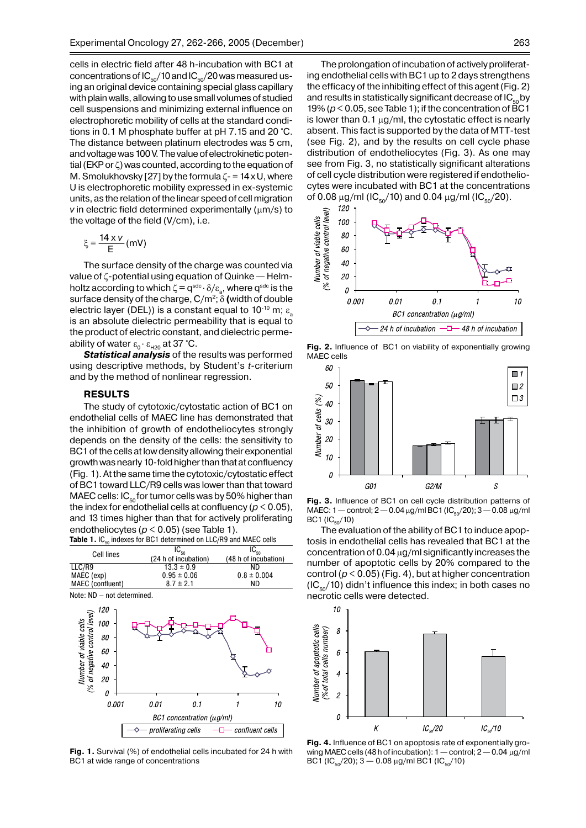cells in electric field after 48 h-incubation with ВС1 at concentrations of  $IC_{50}/10$  and  $IC_{50}/20$  was measured using an original device containing special glass capillary with plain walls, allowing to use small volumes of studied cell suspensions and minimizing external influence on electrophoretic mobility of cells at the standard conditions in 0.1 М phosphate buffer at рН 7.15 and 20 °С. The distance between platinum electrodes was 5 cm, and voltage was 100 V. The value of electrokinetic potential (EKP or ζ) was counted, according to the equation of M. Smolukhovsky [27] by the formula  $\zeta$ - = 14 x U, where U is electrophoretic mobility expressed in ex-systemic units, as the relation of the linear speed of cell migration *v* in electric field determined experimentally ( $\mu$ m/s) to the voltage of the field (V/cm), i.e.

$$
\xi = \frac{14 \times v}{E} \, (mV)
$$

The surface density of the charge was counted via value of ζ-potential using equation of Quinke — Helmholtz according to which  $\zeta = q^{\text{sdc}} \cdot \delta / \varepsilon_{\text{a}}$ , where  $q^{\text{sdc}}$  is the surface density of the charge, C/m2; δ **(**width of double electric layer (DEL)) is a constant equal to 10<sup>-10</sup> m;  $\varepsilon$ is an absolute dielectric permeability that is equal to the product of electric constant, and dielectric permeability of water  $ε_{0} · ε_{H20}$  at 37 °C.

*Statistical analysis* of the results was performed using descriptive methods, by Student's *t*-criterium and by the method of nonlinear regression.

#### **Results**

The study of cytotoxic/cytostatic action of ВС1 on endothelial cells of MAEC line has demonstrated that the inhibition of growth of endotheliocytes strongly depends on the density of the cells: the sensitivity to BC1 of the cells at low density allowing their exponential growth was nearly 10-fold higher than that at confluency (Fig. 1).Atthe same time the cytotoxic/cytostatic effect of BC1 toward LLC/R9 cells was lower than that toward MAEC cells: IC $_{50}$  for tumor cells was by 50% higher than the index for endothelial cells at confluency ( $p < 0.05$ ), and 13 times higher than that for actively proliferating endotheliocytes (*p* < 0.05) (see Table 1). Table 1. IC<sub>50</sub> indexes for BC1 determined on LLC/R9 and MAEC cells

| Cell lines       | $IC_{50}$<br>(24 h of incubation) | (48 h of incubation) |
|------------------|-----------------------------------|----------------------|
| LLC/R9           | $13.3 \pm 0.9$                    | ND.                  |
| MAEC (exp)       | $0.95 \pm 0.06$                   | $0.8 \pm 0.004$      |
| MAEC (confluent) | $8.7 \pm 2.1$                     | ND.                  |





**Fig. 1.** Survival (%) of endothelial cells incubated for 24 h with ВС1 at wide range of concentrations

The prolongation of incubation of actively proliferating endothelial cells with BC1 up to 2 days strengthens the efficacy of the inhibiting effect of this agent(Fig. 2) and results in statistically significant decrease of  $IC_{50}$  by 19% ( $p < 0.05$ , see Table 1); if the concentration of BC1 is lower than 0.1  $\mu$ g/ml, the cytostatic effect is nearly absent. This fact is supported by the data of МТТ-test (see Fig. 2), and by the results on cell cycle phase distribution of endotheliocytes (Fig. 3). As one may see from Fig. 3, no statistically significant alterations of cell cycle distribution were registered if endotheliocytes were incubated with BC1 at the concentrations



**Fig. 2.** Influence of ВС1 on viability of exponentially growing MAEC cells



**Fig. 3.** Influence of ВС1 on cell cycle distribution patterns of  $MAEC: 1$  – control;  $2$  – 0.04 μg/ml BC1 (IC<sub>50</sub>/20);  $3$  – 0.08 μg/ml  $BC1 (IC<sub>50</sub>/10)$ 

The evaluation of the ability of BC1 to induce apoptosis in endothelial cells has revealed that BC1 at the concentration of 0.04 µg/ml significantly increases the number of apoptotic cells by 20% compared to the control (*p* < 0.05) (Fig. 4), but at higher concentration  $(IC_{50}/10)$  didn't influence this index; in both cases no necrotic cells were detected.



**Fig. 4.** Influence of ВС1 on apoptosis rate of exponentially growingМАЕС cells (48hofincubation): 1—control; 2—0.04 µg/ml BC1 (IC<sub>50</sub>/20); 3 – 0.08 µg/ml BC1 (IC<sub>50</sub>/10)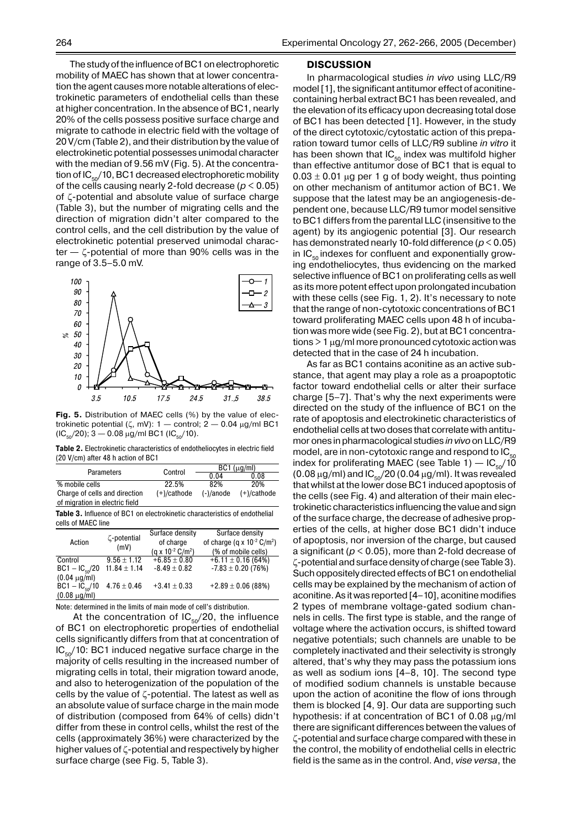The study of the influence of BC1 on electrophoretic mobility of MAEC has shown that at lower concentration the agent causes more notable alterations of electrokinetic parameters of endothelial cells than these at higher concentration. In the absence of BC1, nearly 20% of the cells possess positive surface charge and migrate to cathode in electric field with the voltage of 20 V/cm (Table 2), and their distribution by the value of electrokinetic potential possesses unimodal character with the median of 9.56 mV (Fig. 5). At the concentration of  $IC_{50}/10$ , BC1 decreased electrophoretic mobility of the cells causing nearly 2-fold decreasе (*p* < 0.05) of ζ-potential and absolute value of surface charge (Table 3), but the number of migrating cells and the direction of migration didn't alter compared to the control cells, and the cell distribution by the value of electrokinetic potential preserved unimodal character — ζ-potential of more than 90% cells was in the



**Fig. 5.** Distribution of МАЕС cells (%) by the value of electrokinetic potential (ζ, mV):  $1$  - control;  $2$  - 0.04  $\mu$ g/ml BC1  $(IC_{50}/20); 3 - 0.08 \mu g/ml BC1 (IC_{50}/10).$ 

**Table 2.** Electrokinetic characteristics of endotheliocytes in electric field (20 V/cm) after 48 h action of BC1

| <b>Parameters</b>                                               | Control        | $BC1$ ( $\mu$ g/ml) |               |
|-----------------------------------------------------------------|----------------|---------------------|---------------|
|                                                                 |                | 0.04                | 0.08          |
| % mobile cells                                                  | 22.5%          | 82%                 | 20%           |
| Charge of cells and direction<br>of migration in electric field | $(+)/c$ athode | $(-)/anode$         | $(+)/cathode$ |

**Table 3.** Influence of ВС1 on electrokinetic characteristics of endothelial cells of МАЕС line

| Action             | ζ-potential<br>(mV) | Surface density                   | Surface density                             |
|--------------------|---------------------|-----------------------------------|---------------------------------------------|
|                    |                     | of charge                         | of charge (q x $10^{-2}$ C/m <sup>2</sup> ) |
|                    |                     | (g x $10^{-2}$ C/m <sup>2</sup> ) | (% of mobile cells)                         |
| Control            | $9.56 \pm 1.12$     | $+6.85 \pm 0.80$                  | $+6.11 \pm 0.16$ (64%)                      |
| $BC1 - IC50/20$    | $11.84 \pm 1.14$    | $-8.49 \pm 0.82$                  | $-7.83 \pm 0.20$ (76%)                      |
| $(0.04 \mu g/ml)$  |                     |                                   |                                             |
| $BC1 - IC_{50}/10$ | $4.76 \pm 0.46$     | $+3.41 \pm 0.33$                  | $+2.89 \pm 0.06$ (88%)                      |
| $(0.08 \mu g/ml)$  |                     |                                   |                                             |

Note: determined in the limits of main mode of cell's distribution.

At the concentration of  $IC_{50}/20$ , the influence of ВС1 on electrophoretic properties of endothelial cells significantly differs from that at concentration of  $IC_{50}/10$ : BC1 induced negative surface charge in the majority of cells resulting in the increased number of migrating cells in total, their migration toward anode, and also to heterogenization of the population of the cells by the value of ζ-potential. The latest as well as an absolute value of surface charge in the main mode of distribution (composed from 64% of cells) didn't differ from these in control cells, whilst the rest of the cells (approximately 36%) were characterized by the higher values of ζ-potential and respectively by higher surface charge (see Fig. 5, Table 3).

#### 264 Experimental Oncology 27, 262-266, 2005 (December)

#### **DISCUSSION**

In pharmacological studies *in vivo* using LLC/R9 model [1], the significant antitumor effect of aconitinecontaining herbal extract BC1 has been revealed, and the elevation of its efficacy upon decreasing total dose of BC1 has been detected [1]. However, in the study of the direct cytotoxic/cytostatic action of this preparation toward tumor cells of LLC/R9 subline *in vitro* it has been shown that  $IC_{50}$  index was multifold higher than effective antitumor dose of BC1 that is equal to  $0.03 \pm 0.01$  µg per 1 g of body weight, thus pointing on other mechanism of antitumor action of BC1. We suppose that the latest may be an angiogenesis-dependent one, because LLC/R9 tumor model sensitive toBC1 differs from the parental LLC (insensitive to the agent) by its angiogenic potential [3]. Our research has demonstrated nearly 10-fold difference (*p* < 0.05) in  $IC_{50}$  indexes for confluent and exponentially growing endotheliocytes, thus evidencing on the marked selective influence of BC1 on proliferating cells as well as its more potent effect upon prolongated incubation with these cells (see Fig. 1, 2). It's necessary to note that the range of non-cytotoxic concentrations of BC1 toward proliferating MAEC cells upon 48 h of incubation was more wide (see Fig. 2), but at BC1 concentrations>1 µg/ml more pronounced cytotoxic action was detected that in the case of 24 h incubation.

As far as ВС1 contains aconitine as an active substance, that agent may play a role as a proapoptotic factor toward endothelial cells or alter their surface charge [5–7]. That's why the next experiments were directed on the study of the influence of BC1 on the rate of apoptosis and electrokinetic characteristics of endothelial cells at two doses that correlate with antitumor ones in pharmacological studies *in vivo* on LLC/R9 model, are in non-cytotoxic range and respond to  $IC_{50}$ index for proliferating MAEC (see Table 1)  $-$  IC<sub>50</sub>/10 (0.08  $\mu$ g/ml) and IC<sub>50</sub>/20 (0.04  $\mu$ g/ml). It was revealed that whilst at the lower dose BC1 induced apoptosis of the cells (see Fig. 4) and alteration of their main electrokinetic characteristics influencing the value and sign of the surface charge, the decrease of adhesive properties of the cells, at higher dose BC1 didn't induce of apoptosis, nor inversion of the charge, but caused a significant ( $p < 0.05$ ), more than 2-fold decrease of ζ-potential andsurfacedensity of charge (see Table 3). Such oppositely directed effects of BC1 on endothelial cells may be explained by the mechanism of action of aconitine. As it was reported [4–10], aconitine modifies 2 types of membrane voltage-gated sodium channels in cells. The first type is stable, and the range of voltage where the activation occurs, is shifted toward negative potentials; such channels are unable to be completely inactivated and their selectivity is strongly altered, that's why they may pass the potassium ions as well as sodium ions [4–8, 10]. The second type of modified sodium channels is unstable because upon the action of aconitine the flow of ions through them is blocked [4, 9]. Our data are supporting such hypothesis: if at concentration of ВС1 of 0.08 µg/ml there are significant differences between the values of ζ-potential and surface charge compared with these in the control, the mobility of endothelial cells in electric field is the same as in the control. And, *vise versa*, the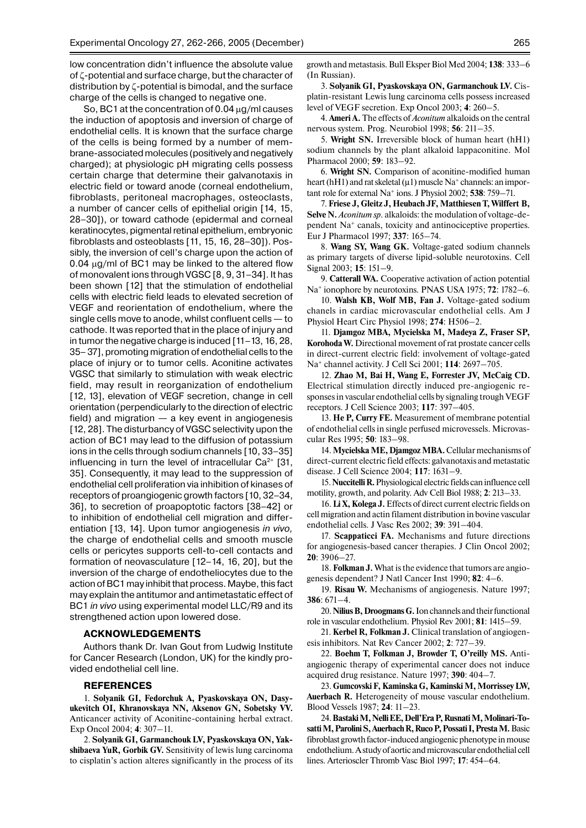low concentration didn't influence the absolute value of ζ-potential and surface charge, but the character of distribution by ζ-potential is bimodal, and the surface charge of the cells is changed to negative one.

So,ВС1 at the concentration of 0.04 µg/ml causes the induction of apoptosis and inversion of charge of endothelial cells. It is known that the surface charge of the cells is being formed by a number of membrane-associated molecules (positively and negatively charged); at physiologic pH migrating cells possess certain charge that determine their galvanotaxis in electric field or toward anode (corneal endothelium, fibroblasts, peritoneal macrophages, osteoclasts, a number of cancer cells of epithelial origin [14, 15, 28–30]), or toward cathode (epidermal and corneal keratinocytes, pigmental retinal epithelium, embryonic fibroblasts and osteoblasts [11, 15, 16, 28–30]). Possibly, the inversion of cell's charge upon the action of  $0.04 \mu g$ /ml of BC1 may be linked to the altered flow of monovalent ions through VGSC [8, 9, 31–34]. It has been shown [12] that the stimulation of endothelial cells with electric field leads to elevated secretion of VEGF and reorientation of endothelium, where the single cells move to anode, whilst confluent cells — to cathode. It was reported that in the place of injury and in tumor the negative charge is induced  $[11-13, 16, 28,$ 35– 37], promoting migration of endothelial cells to the place of injury or to tumor cells. Aconitine activates VGSC that similarly to stimulation with weak electric field, may result in reorganization of endothelium [12, 13], elevation of VEGF secretion, change in cell orientation (perpendicularly to the direction of electric field) and migration  $-$  a key event in angiogenesis [12, 28]. The disturbancy of VGSC selectivity upon the action of ВС1 may lead to the diffusion of potassium ions in the cells through sodium channels [10, 33–35] influencing in turn the level of intracellular  $Ca^{2+}$  [31, 35]. Consequently, it may lead to the suppression of endothelial cell proliferation via inhibition of kinases of receptors of proangiogenic growth factors [10, 32–34, 36], to secretion of proapoptotic factors [38–42] or to inhibition of endothelial cell migration and differentiation [13, 14]. Upon tumor angiogenesis *in vivo,*  the charge of endothelial cells and smooth muscle cells or pericytes supports cell-to-cell contacts and formation of neovasculature [12–14, 16, 20], but the inversion of the charge of endotheliocytes due to the action of BC1 may inhibit that process. Maybe, this fact may explain the antitumor and antimetastatic effect of BC1 *in vivo* using experimental model LLC/R9 and its strengthened action upon lowered dose.

#### **ACKNOWLEDGEMENTS**

Authors thank Dr. Ivan Gout from Ludwig Institute for Cancer Research (London, UK) for the kindly provided endothelial cell line.

#### **REFERENCES**

1. **Solyanik GI, Fedorchuk A, Pyaskovskaya ON, Dasyukevitch OI, Khranovskaya NN, Aksenov GN, Sobetsky VV.**  Anticancer activity of Aconitine-containing herbal extract. Exp Oncol 2004; **4**: 307–11.

2. **Solyanik GI, Garmanchouk LV, Pyaskovskaya ON, Yakshibaeva YuR, Gorbik GV.** Sensitivity of lewis lung carcinoma to cisplatin's action alteres significantly in the process of its growth and metastasis. Bull Eksper Biol Med 2004; **138**: 333–6 (In Russian).

3. **Solyanik GI, Pyaskovskaya ON, Garmanchouk LV.** Cisplatin-resistant Lewis lung carcinoma cells possess increased level of VEGF secretion. Exp Oncol 2003; **4**: 260–5.

4. **Ameri A.** The effects of *Aconitum* alkaloids on the central nervous system. Prog. Neurobiol 1998; **56**: 211–35.

5. **Wright SN.** Irreversible block of human heart (hH1) sodium channels by the plant alkaloid lappaconitine. Mol Pharmacol 2000; **59**: 183–92.

6. **Wright SN.** Comparison of aconitine-modified human heart (hH1) and rat skeletal ( $\mu$ 1) muscle Na<sup>+</sup> channels: an important role for external Na+ ions. J Physiol 2002; **538**: 759–71.

7. **Friese J, Gleitz J, Heubach JF, Matthiesen T, Wilffert B, Selve N.** *Aconitum sp.* аlkaloids: the modulation of voltage-dependent Na+ canals, toxicity and antinociceptive properties. Eur J Pharmacol 1997; **337**: 165–74.

8. **Wang SY, Wang GK.** Voltage-gated sodium channels as primary targets of diverse lipid-soluble neurotoxins. Cell Signal 2003; **15**: 151–9.

9. **Catterall WA.** Cooperative activation of action potential Na+ ionophore by neurotoxins. PNAS USA 1975; **72**: 1782–6.

10. **Walsh KB, Wolf MB, Fan J.** Voltage-gated sodium chanels in cardiac microvascular endothelial cells. Am J Physiol Heart Сirc Physiol 1998; **274**: H506–2.

11. **Djamgoz MBA, Mycielska M, Madeya Z, Fraser SP, Korohoda W.** Directional movement of rat prostate cancer cells in direct-current electric field: involvement of voltage-gated Na+ channel activity. J Cell Sci 2001; **114**: 2697–705.

12. **Zhao M, Bai H, Wang E, Forrester JV, McCaig CD.** Electrical stimulation directly induced pre-angiogenic responses in vascular endothelial cells by signaling trough VEGF receptors. J Cell Science 2003; **117**: 397–405.

13. **He P, Curry FE.** Measurement of membrane potential of endothelial cells in single perfused microvessels. Microvascular Res 1995; **50**: 183–98.

14. **Mycielska ME, Djamgoz MBA.** Cellular mechanisms of direct-current electric field effects: galvanotaxis and metastatic disease. J Cell Science 2004; **117**: 1631–9.

15. **Nuccitelli R.** Physiological electric fields can influence cell motility, growth, and polarity. Adv Cell Biol 1988; **2**: 213–33.

16. **Li X, Kolega J.** Effects of direct current electric fields on cell migration and actin filament distribution in bovine vascular endothelial cells. J Vasc Res 2002; **39**: 391–404.

17. **Scappaticci FA.** Mechanisms and future directions for angiogenesis-based cancer therapies. J Clin Oncol 2002; **20**: 3906–27.

18. **Folkman J.** What is the evidence that tumors are angiogenesis dependent? J Natl Cancer Inst 1990; **82**: 4–6.

19. **Risau W.** Mechanisms of angiogenesis. Nature 1997; **386**: 671–4.

20. **Nilius B, Droogmans G.** Ion channels and their functional role in vascular endothelium. Physiol Rev 2001; **81**: 1415–59.

21. **Kerbel R, Folkman J.** Clinical translation of angiogenesis inhibitors. Nat Rev Cancer 2002; **2**: 727–39.

22. **Boehm T, Folkman J, Browder T, O'reilly MS.** Antiangiogenic therapy of experimental cancer does not induce acquired drug resistance. Nature 1997; **390**: 404–7.

23. **Gumcovski F, Kaminska G, Kaminski M, Morrissey LW, Auerbach R.** Heterogeneity of mouse vascular endothelium. Bloоd Vessels 1987; **24**: 11–23.

24. **Bastaki M, Nelli EE, Dell'Era P, Rusnati M, Molinari-To**satti M. Parolini S. Auerbach R. Ruco P. Possati I. Presta M. Basic fibroblast growth factor-induced angiogenic phenotype in mouse endothelium. A study of aortic and microvascular endothelial cell lines. Arterioscler Thromb Vasc Biol 1997; **17**: 454–64.